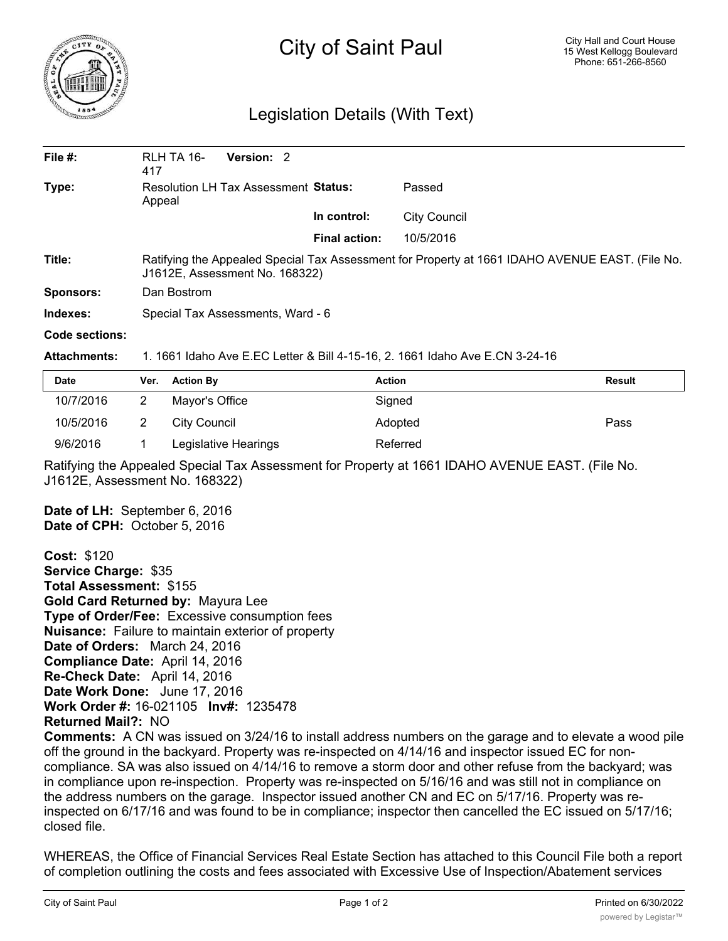

# City of Saint Paul

## Legislation Details (With Text)

| File #:   | Version: 2<br>RLH TA 16-<br>417                                                                                                   |                      |                     |  |  |
|-----------|-----------------------------------------------------------------------------------------------------------------------------------|----------------------|---------------------|--|--|
| Type:     | Resolution LH Tax Assessment Status:<br>Appeal                                                                                    |                      | Passed              |  |  |
|           |                                                                                                                                   | In control:          | <b>City Council</b> |  |  |
|           |                                                                                                                                   | <b>Final action:</b> | 10/5/2016           |  |  |
| Title:    | Ratifying the Appealed Special Tax Assessment for Property at 1661 IDAHO AVENUE EAST. (File No.<br>J1612E, Assessment No. 168322) |                      |                     |  |  |
| Sponsors: | Dan Bostrom                                                                                                                       |                      |                     |  |  |
| Indexes:  | Special Tax Assessments, Ward - 6                                                                                                 |                      |                     |  |  |
| .         |                                                                                                                                   |                      |                     |  |  |

## **Code sections:**

#### **Attachments:** 1. 1661 Idaho Ave E.EC Letter & Bill 4-15-16, 2. 1661 Idaho Ave E.CN 3-24-16

| <b>Date</b> | Ver. Action By       | <b>Action</b> | <b>Result</b> |
|-------------|----------------------|---------------|---------------|
| 10/7/2016   | Mayor's Office       | Signed        |               |
| 10/5/2016   | City Council         | Adopted       | Pass          |
| 9/6/2016    | Legislative Hearings | Referred      |               |

Ratifying the Appealed Special Tax Assessment for Property at 1661 IDAHO AVENUE EAST. (File No. J1612E, Assessment No. 168322)

**Date of LH:** September 6, 2016 **Date of CPH:** October 5, 2016

**Cost:** \$120 **Service Charge:** \$35 **Total Assessment:** \$155 **Gold Card Returned by:** Mayura Lee **Type of Order/Fee:** Excessive consumption fees **Nuisance:** Failure to maintain exterior of property **Date of Orders:** March 24, 2016 **Compliance Date:** April 14, 2016 **Re-Check Date:** April 14, 2016 **Date Work Done:** June 17, 2016 **Work Order #:** 16-021105 **Inv#:** 1235478 **Returned Mail?:** NO

**Comments:** A CN was issued on 3/24/16 to install address numbers on the garage and to elevate a wood pile off the ground in the backyard. Property was re-inspected on 4/14/16 and inspector issued EC for noncompliance. SA was also issued on 4/14/16 to remove a storm door and other refuse from the backyard; was in compliance upon re-inspection. Property was re-inspected on 5/16/16 and was still not in compliance on the address numbers on the garage. Inspector issued another CN and EC on 5/17/16. Property was reinspected on 6/17/16 and was found to be in compliance; inspector then cancelled the EC issued on 5/17/16; closed file.

WHEREAS, the Office of Financial Services Real Estate Section has attached to this Council File both a report of completion outlining the costs and fees associated with Excessive Use of Inspection/Abatement services